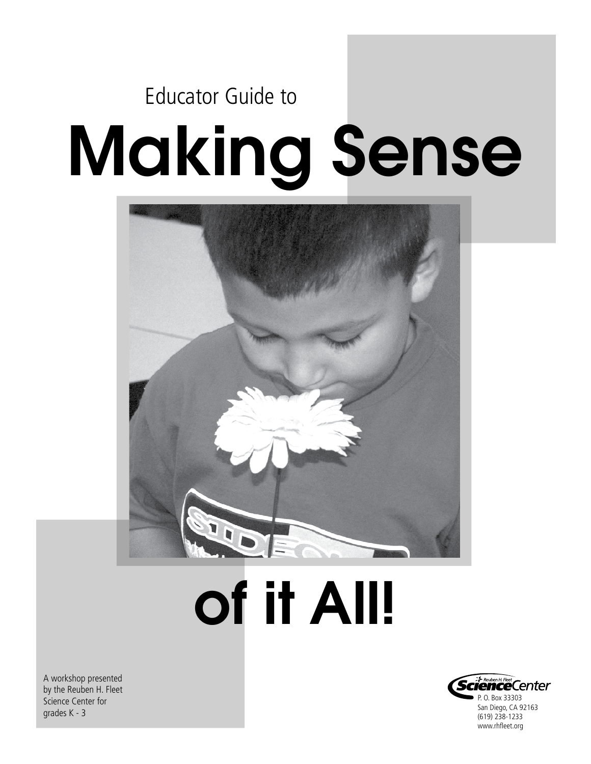## Making Sense Educator Guide to



# of it All!

A workshop presented by the Reuben H. Fleet Science Center for grades K - 3

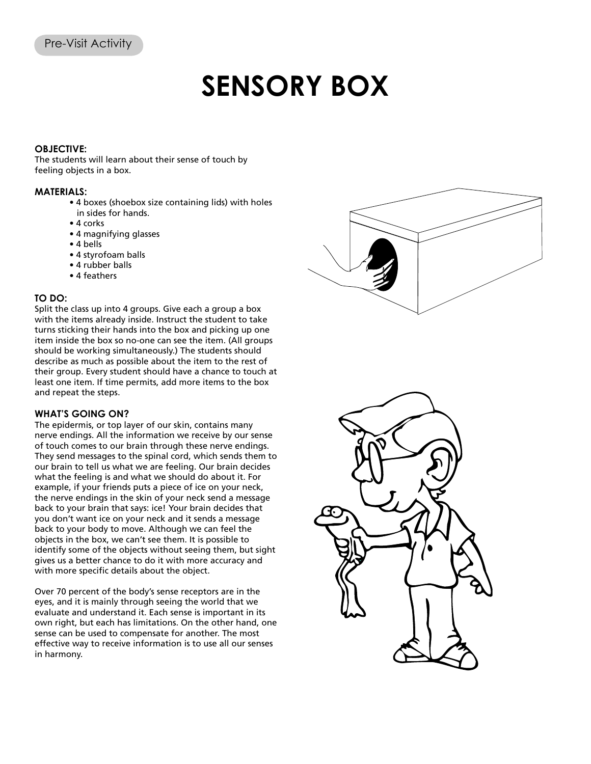### **SENSORY BOX**

### **OBJECTIVE:**

The students will learn about their sense of touch by feeling objects in a box.

#### **MATERIALS:**

- 4 boxes (shoebox size containing lids) with holes in sides for hands.
- 4 corks
- 4 magnifying glasses
- 4 bells
- 4 styrofoam balls
- 4 rubber balls
- 4 feathers

### **TO DO:**

Split the class up into 4 groups. Give each a group a box with the items already inside. Instruct the student to take turns sticking their hands into the box and picking up one item inside the box so no-one can see the item. (All groups should be working simultaneously.) The students should describe as much as possible about the item to the rest of their group. Every student should have a chance to touch at least one item. If time permits, add more items to the box and repeat the steps.

### **WHAT'S GOING ON?**

The epidermis, or top layer of our skin, contains many nerve endings. All the information we receive by our sense of touch comes to our brain through these nerve endings. They send messages to the spinal cord, which sends them to our brain to tell us what we are feeling. Our brain decides what the feeling is and what we should do about it. For example, if your friends puts a piece of ice on your neck, the nerve endings in the skin of your neck send a message back to your brain that says: ice! Your brain decides that you don't want ice on your neck and it sends a message back to your body to move. Although we can feel the objects in the box, we can't see them. It is possible to identify some of the objects without seeing them, but sight gives us a better chance to do it with more accuracy and with more specific details about the object.

Over 70 percent of the body's sense receptors are in the eyes, and it is mainly through seeing the world that we evaluate and understand it. Each sense is important in its own right, but each has limitations. On the other hand, one sense can be used to compensate for another. The most effective way to receive information is to use all our senses in harmony.



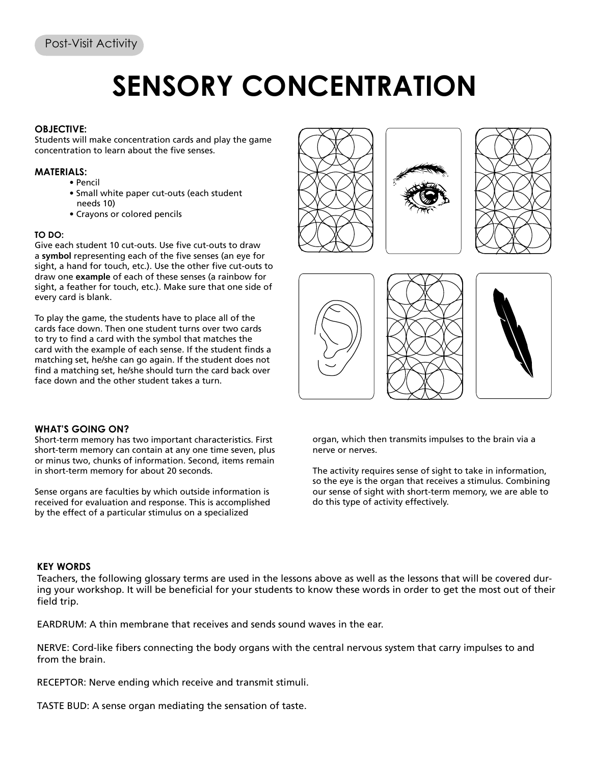### **SENSORY CONCENTRATION**

### **OBJECTIVE:**

Students will make concentration cards and play the game concentration to learn about the five senses.

### **MATERIALS:**

- Pencil
- Small white paper cut-outs (each student needs 10)
- Crayons or colored pencils

### **TO DO:**

Give each student 10 cut-outs. Use five cut-outs to draw a **symbol** representing each of the five senses (an eye for sight, a hand for touch, etc.). Use the other five cut-outs to draw one **example** of each of these senses (a rainbow for sight, a feather for touch, etc.). Make sure that one side of every card is blank.

To play the game, the students have to place all of the cards face down. Then one student turns over two cards to try to find a card with the symbol that matches the card with the example of each sense. If the student finds a matching set, he/she can go again. If the student does not find a matching set, he/she should turn the card back over face down and the other student takes a turn.











### **WHAT'S GOING ON?**

Short-term memory has two important characteristics. First short-term memory can contain at any one time seven, plus or minus two, chunks of information. Second, items remain in short-term memory for about 20 seconds.

Sense organs are faculties by which outside information is received for evaluation and response. This is accomplished by the effect of a particular stimulus on a specialized

organ, which then transmits impulses to the brain via a nerve or nerves.

The activity requires sense of sight to take in information, so the eye is the organ that receives a stimulus. Combining our sense of sight with short-term memory, we are able to do this type of activity effectively.

### **KEY WORDS**

Teachers, the following glossary terms are used in the lessons above as well as the lessons that will be covered during your workshop. It will be beneficial for your students to know these words in order to get the most out of their field trip.

EARDRUM: A thin membrane that receives and sends sound waves in the ear.

NERVE: Cord-like fibers connecting the body organs with the central nervous system that carry impulses to and from the brain.

RECEPTOR: Nerve ending which receive and transmit stimuli.

TASTE BUD: A sense organ mediating the sensation of taste.